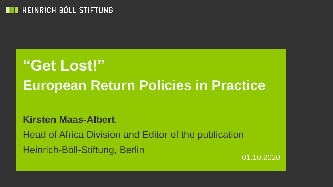# **"Get Lost!" European Return Policies in Practice**

**Kirsten Maas-Albert**,

Head of Africa Division and Editor of the publication Heinrich-Böll-Stiftung, Berlin

01.10.2020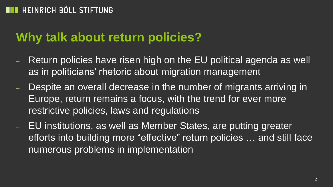### **Why talk about return policies?**

- Return policies have risen high on the EU political agenda as well as in politicians' rhetoric about migration management
- Despite an overall decrease in the number of migrants arriving in Europe, return remains a focus, with the trend for ever more restrictive policies, laws and regulations
- EU institutions, as well as Member States, are putting greater efforts into building more "effective" return policies … and still face numerous problems in implementation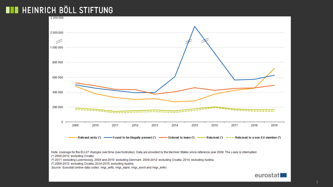

(\*) 2009-2012: excluding Croatia. 2014-2015: excluding Austria.

Source: Eurostat (online data codes: migr\_eirfs, migr\_eipre, migr\_eiord and migr\_eirtn)

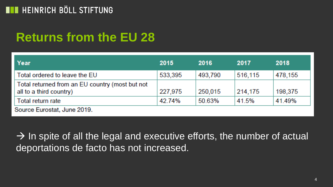## **Returns from the EU 28**

| Year                                                                       | 2015    | 2016    | 2017    | 2018    |
|----------------------------------------------------------------------------|---------|---------|---------|---------|
| Total ordered to leave the EU                                              | 533,395 | 493,790 | 516,115 | 478,155 |
| Total returned from an EU country (most but not<br>all to a third country) | 227,975 | 250,015 | 214,175 | 198,375 |
| Total return rate                                                          | 42.74%  | 50.63%  | 41.5%   | 41.49%  |
| Source Eurostat, June 2019.                                                |         |         |         |         |

 $\rightarrow$  In spite of all the legal and executive efforts, the number of actual deportations de facto has not increased.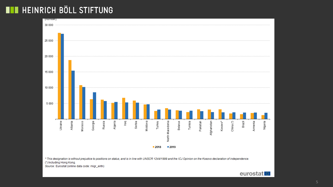

(\*) Including Hong Kong.

Source: Eurostat (online data code: migr\_eirtn)

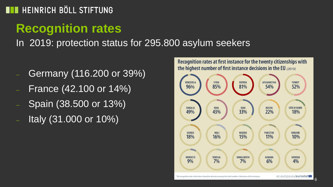# **Recognition rates**

In 2019: protection status for 295.800 asylum seekers

- Germany (116.200 or 39%)
- France (42.100 or 14%)
- Spain (38.500 or 13%)
- Italy (31.000 or 10%)

Recognition rates at first instance for the twenty citizenships with the highest number of first instance decisions in the EU (2019)

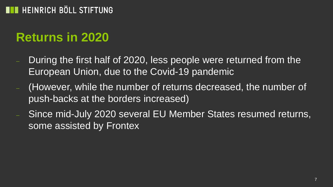## **Returns in 2020**

- During the first half of 2020, less people were returned from the European Union, due to the Covid-19 pandemic
- (However, while the number of returns decreased, the number of push-backs at the borders increased)
- Since mid-July 2020 several EU Member States resumed returns, some assisted by Frontex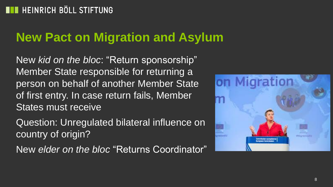## **New Pact on Migration and Asylum**

New *kid on the bloc*: "Return sponsorship" Member State responsible for returning a person on behalf of another Member State of first entry. In case return fails, Member States must receive

Question: Unregulated bilateral influence on country of origin?

New *elder on the bloc* "Returns Coordinator"

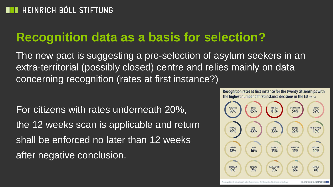### **Recognition data as a basis for selection?**

The new pact is suggesting a pre-selection of asylum seekers in an extra-territorial (possibly closed) centre and relies mainly on data concerning recognition (rates at first instance?)

For citizens with rates underneath 20%, the 12 weeks scan is applicable and return shall be enforced no later than 12 weeks after negative conclusion.

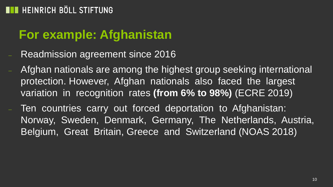### **For example: Afghanistan**

- Readmission agreement since 2016
- Afghan nationals are among the highest group seeking international protection. However, Afghan nationals also faced the largest variation in recognition rates **(from 6% to 98%)** (ECRE 2019)
- Ten countries carry out forced deportation to Afghanistan: Norway, Sweden, Denmark, Germany, The Netherlands, Austria, Belgium, Great Britain, Greece and Switzerland (NOAS 2018)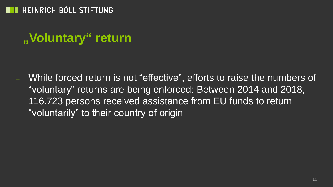## **"Voluntary" return**

 While forced return is not "effective", efforts to raise the numbers of "voluntary" returns are being enforced: Between 2014 and 2018, 116.723 persons received assistance from EU funds to return "voluntarily" to their country of origin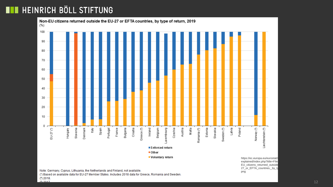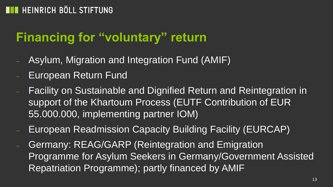# **Financing for "voluntary" return**

- Asylum, Migration and Integration Fund (AMIF)
- European Return Fund
- Facility on Sustainable and Dignified Return and Reintegration in support of the Khartoum Process (EUTF Contribution of EUR 55.000.000, implementing partner IOM)
- European Readmission Capacity Building Facility (EURCAP)
- Germany: REAG/GARP (Reintegration and Emigration Programme for Asylum Seekers in Germany/Government Assisted Repatriation Programme); partly financed by AMIF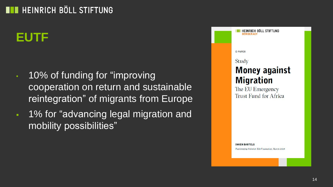## **EUTF**

- 10% of funding for "improving cooperation on return and sustainable reintegration" of migrants from Europe
- **1% for "advancing legal migration and** mobility possibilities"

| HEINRICH BÖLL STIFTUNG<br>DEMOCRACY               |
|---------------------------------------------------|
|                                                   |
| <b>E-PAPER</b>                                    |
| Study                                             |
| <b>Money against</b>                              |
| <b>Migration</b>                                  |
| The EU Emergency                                  |
| Trust Fund for Africa                             |
|                                                   |
|                                                   |
|                                                   |
|                                                   |
|                                                   |
| <b>INKEN BARTELS</b>                              |
| Published by Heinrich Böll Foundation, March 2019 |
|                                                   |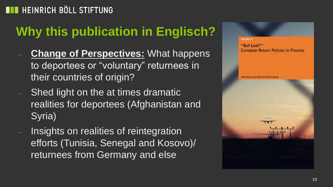# **Why this publication in Englisch?**

- **Change of Perspectives:** What happens to deportees or "voluntary" returnees in their countries of origin?
- Shed light on the at times dramatic realities for deportees (Afghanistan and Syria)
- Insights on realities of reintegration efforts (Tunisia, Senegal and Kosovo)/ returnees from Germany and else

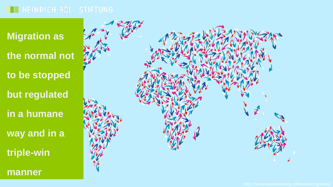**Migration as**

**the normal not** 

**to be stopped**

**but regulated**

**in a humane** 

**way and in a** 

**triple-win**

**manner**

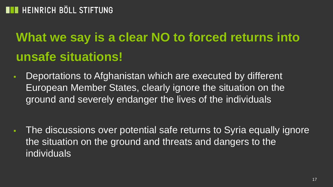# **What we say is a clear NO to forced returns into unsafe situations!**

**Deportations to Afghanistan which are executed by different** European Member States, clearly ignore the situation on the ground and severely endanger the lives of the individuals

 The discussions over potential safe returns to Syria equally ignore the situation on the ground and threats and dangers to the individuals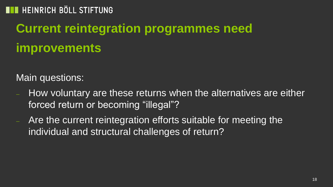# **Current reintegration programmes need improvements**

Main questions:

- How voluntary are these returns when the alternatives are either forced return or becoming "illegal"?
- Are the current reintegration efforts suitable for meeting the individual and structural challenges of return?